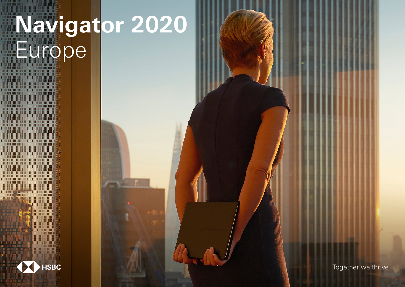# **Navigator 2020 Europe**



,,,,,,,,,,,,,,,,,,,,,,,,, **The House of The Top** 

Together we thrive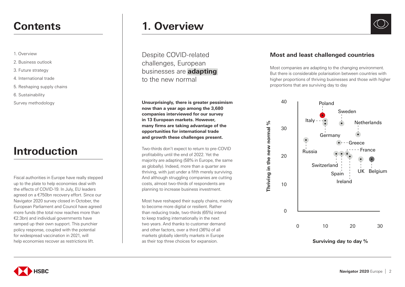- 1. Overview
- 2. Business outlook
- 3. Future strategy
- 4. International trade
- 5. Reshaping supply chains
- 6. Sustainability
- Survey methodology

# **Introduction**

Fiscal authorities in Europe have really stepped up to the plate to help economies deal with the effects of COVID-19. In July, EU leaders agreed on a €750bn recovery effort. Since our Navigator 2020 survey closed in October, the European Parliament and Council have agreed more funds (the total now reaches more than €2.3bn) and individual governments have ramped up their own support. This punchier policy response, coupled with the potential for widespread vaccination in 2021, will help economies recover as restrictions lift.

# **Contents 1. Overview**

Despite COVID-related challenges, European businesses are **adapting** to the new normal

**Unsurprisingly, there is greater pessimism now than a year ago among the 3,680 companies interviewed for our survey in 13 European markets. However, many firms are taking advantage of the opportunities for international trade and growth these challenges present.** 

Two-thirds don't expect to return to pre-COVID profitability until the end of 2022. Yet the majority are adapting (58% in Europe, the same as globally). Indeed, more than a quarter are thriving, with just under a fifth merely surviving. And although struggling companies are cutting costs, almost two-thirds of respondents are planning to increase business investment.

Most have reshaped their supply chains, mainly to become more digital or resilient. Rather than reducing trade, two-thirds (65%) intend to keep trading internationally in the next two years. And thanks to customer demand and other factors, over a third (36%) of all markets globally identify markets in Europe as their top three choices for expansion.

### **Most and least challenged countries**

Most companies are adapting to the changing environment. But there is considerable polarisation between countries with higher proportions of thriving businesses and those with higher proportions that are surviving day to day



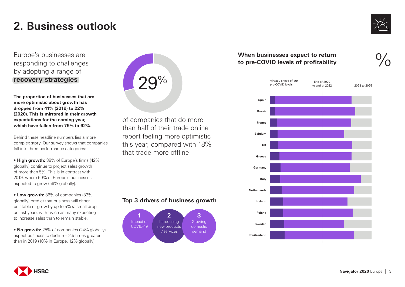

Europe's businesses are responding to challenges by adopting a range of **recovery strategies**

**The proportion of businesses that are more optimistic about growth has dropped from 41% (2019) to 22% (2020). This is mirrored in their growth expectations for the coming year, which have fallen from 79% to 62%.**

Behind these headline numbers lies a more complex story. Our survey shows that companies fall into three performance categories:

**• High growth:** 38% of Europe's firms (42% globally) continue to project sales growth of more than 5%. This is in contrast with 2019, where 50% of Europe's businesses expected to grow (56% globally).

**• Low growth:** 36% of companies (33% globally) predict that business will either be stable or grow by up to 5% (a small drop on last year), with twice as many expecting to increase sales than to remain stable.

• **No growth:** 25% of companies (24% globally) expect business to decline – 2.5 times greater than in 2019 (10% in Europe, 12% globally).

| 29% |
|-----|
|     |

of companies that do more than half of their trade online report feeling more optimistic this year, compared with 18% that trade more offline

### **Top 3 drivers of business growth**



### **When businesses expect to return to pre-COVID levels of profitability**



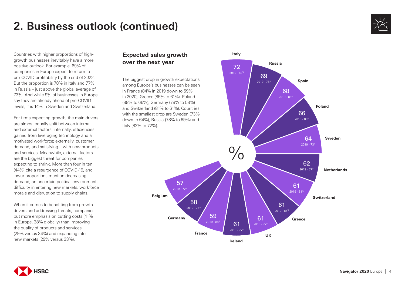

Countries with higher proportions of highgrowth businesses inevitably have a more positive outlook. For example, 69% of companies in Europe expect to return to pre-COVID profitability by the end of 2022. But the proportion is 78% in Italy and 77% in Russia – just above the global average of 73%. And while 9% of businesses in Europe say they are already ahead of pre-COVID levels, it is 14% in Sweden and Switzerland.

For firms expecting growth, the main drivers are almost equally split between internal and external factors: internally, efficiencies gained from leveraging technology and a motivated workforce; externally, customer demand, and satisfying it with new products and services. Meanwhile, external factors are the biggest threat for companies expecting to shrink. More than four in ten (44%) cite a resurgence of COVID-19, and lower proportions mention decreasing demand, an uncertain political environment, difficulty in entering new markets, workforce morale and disruption to supply chains.

When it comes to benefiting from growth drivers and addressing threats, companies put more emphasis on cutting costs (41% in Europe, 38% globally) than improving the quality of products and services (29% versus 34%) and expanding into new markets (29% versus 33%).

## **Expected sales growth over the next year**

The biggest drop in growth expectations among Europe's businesses can be seen in France (84% in 2019 down to 59% in 2020), Greece (85% to 61%), Poland (88% to 66%), Germany (78% to 58%) and Switzerland (81% to 61%). Countries with the smallest drop are Sweden (73% down to 64%), Russia (78% to 69%) and Italy (82% to 72%).



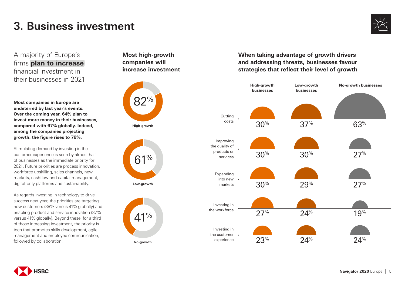

A majority of Europe's firms **plan to increase**  financial investment in their businesses in 2021

**Most companies in Europe are undeterred by last year's events. Over the coming year, 64% plan to invest more money in their businesses, compared with 67% globally. Indeed, among the companies projecting growth, the figure rises to 78%.**

Stimulating demand by investing in the customer experience is seen by almost half of businesses as the immediate priority for 2021. Future priorities are process innovation, workforce upskilling, sales channels, new markets, cashflow and capital management, digital-only platforms and sustainability.

As regards investing in technology to drive success next year, the priorities are targeting new customers (38% versus 41% globally) and enabling product and service innovation (37% versus 41% globally). Beyond these, for a third of those increasing investment, the priority is tech that promotes skills development, agile management and employee communication, followed by collaboration.

**Most high-growth companies will increase investment**



**High-growth**



**Low-growth**



**When taking advantage of growth drivers and addressing threats, businesses favour strategies that reflect their level of growth**



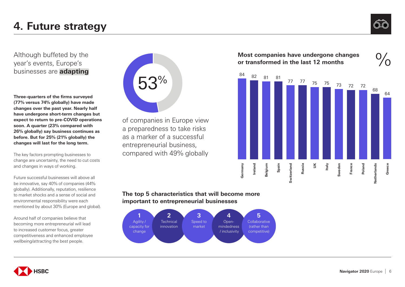

Although buffeted by the year's events, Europe's businesses are **adapting**

**Three-quarters of the firms surveyed (77% versus 74% globally) have made changes over the past year. Nearly half have undergone short-term changes but expect to return to pre-COVID operations soon. A quarter (23% compared with 26% globally) say business continues as before. But for 25% (21% globally) the changes will last for the long term.**

The key factors prompting businesses to change are uncertainty, the need to cut costs and changes in ways of working.

Future successful businesses will above all be innovative, say 40% of companies (44% globally). Additionally, reputation, resilience to market shocks and a sense of social and environmental responsibility were each mentioned by about 30% (Europe and global).

Around half of companies believe that becoming more entrepreneurial will lead to increased customer focus, greater competitiveness and enhanced employee wellbeing/attracting the best people.



of companies in Europe view a preparedness to take risks as a marker of a successful entrepreneurial business, compared with 49% globally





### **The top 5 characteristics that will become more important to entrepreneurial businesses**



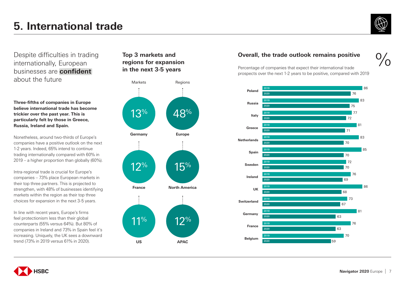

Despite difficulties in trading internationally, European businesses are **confident** about the future

**Three-fifths of companies in Europe believe international trade has become trickier over the past year. This is particularly felt by those in Greece, Russia, Ireland and Spain.**

Nonetheless, around two-thirds of Europe's companies have a positive outlook on the next 1-2 years. Indeed, 65% intend to continue trading internationally compared with 60% in 2019 – a higher proportion than globally (60%).

Intra-regional trade is crucial for Europe's companies – 73% place European markets in their top three partners. This is projected to strengthen, with 48% of businesses identifying markets within the region as their top three choices for expansion in the next 3-5 years.

In line with recent years, Europe's firms feel protectionism less than their global counterparts (55% versus 64%). But 80% of companies in Ireland and 73% in Spain feel it's increasing. Uniquely, the UK sees a downward trend (73% in 2019 versus 61% in 2020).

# **Top 3 markets and regions for expansion in the next 3-5 years**



## **Overall, the trade outlook remains positive**



Percentage of companies that expect their international trade prospects over the next 1-2 years to be positive, compared with 2019



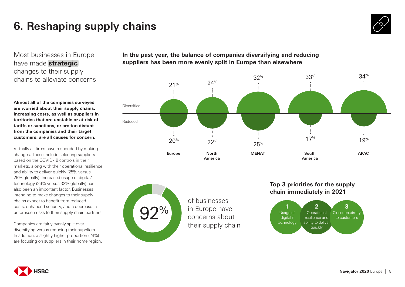

Most businesses in Europe have made **strategic** changes to their supply chains to alleviate concerns

**Almost all of the companies surveyed are worried about their supply chains. Increasing costs, as well as suppliers in territories that are unstable or at risk of tariffs or sanctions, or are too distant from the companies and their target customers, are all causes for concern.** 

Virtually all firms have responded by making changes. These include selecting suppliers based on the COVID-19 controls in their markets, along with their operational resilience and ability to deliver quickly (25% versus 29% globally). Increased usage of digital/ technology (26% versus 32% globally) has also been an important factor. Businesses intending to make changes to their supply chains expect to benefit from reduced costs, enhanced security, and a decrease in unforeseen risks to their supply chain partners.

Companies are fairly evenly split over diversifying versus reducing their suppliers. In addition, a slightly higher proportion (24%) are focusing on suppliers in their home region. **In the past year, the balance of companies diversifying and reducing suppliers has been more evenly split in Europe than elsewhere**





of businesses in Europe have concerns about their supply chain

## **Top 3 priorities for the supply chain immediately in 2021**



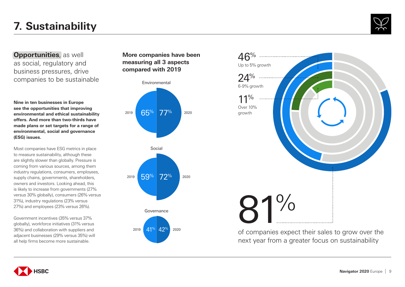# **7. Sustainability**



**Opportunities**, as well as social, regulatory and business pressures, drive companies to be sustainable

**Nine in ten businesses in Europe see the opportunities that improving environmental and ethical sustainability offers. And more than two-thirds have made plans or set targets for a range of environmental, social and governance (ESG) issues.**

Most companies have ESG metrics in place to measure sustainability, although these are slightly slower than globally. Pressure is coming from various sources, among them industry regulations, consumers, employees, supply chains, governments, shareholders, owners and investors. Looking ahead, this is likely to increase from governments (27% versus 30% globally), consumers (26% versus 31%), industry regulations (23% versus 27%) and employees (23% versus 26%).

Government incentives (35% versus 37% globally), workforce initiatives (31% versus 36%) and collaboration with suppliers and adjacent businesses (29% versus 35%) will all help firms become more sustainable.

**More companies have been measuring all 3 aspects compared with 2019**





Governance <sup>2019</sup> 41% 42% <sup>2020</sup>



of companies expect their sales to grow over the next year from a greater focus on sustainability